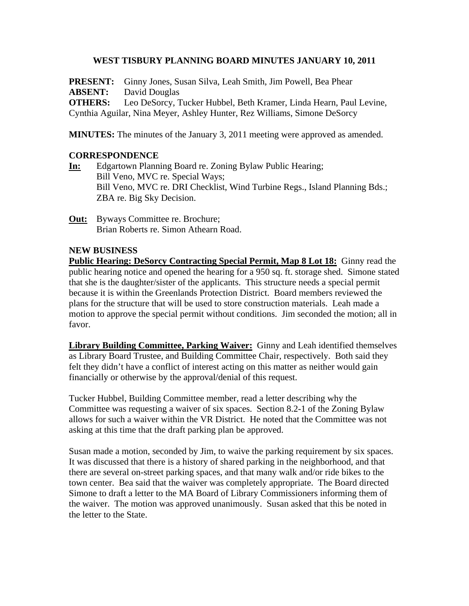### **WEST TISBURY PLANNING BOARD MINUTES JANUARY 10, 2011**

**PRESENT:** Ginny Jones, Susan Silva, Leah Smith, Jim Powell, Bea Phear **ABSENT:** David Douglas **OTHERS:** Leo DeSorcy, Tucker Hubbel, Beth Kramer, Linda Hearn, Paul Levine, Cynthia Aguilar, Nina Meyer, Ashley Hunter, Rez Williams, Simone DeSorcy

**MINUTES:** The minutes of the January 3, 2011 meeting were approved as amended.

## **CORRESPONDENCE**

- **In:** Edgartown Planning Board re. Zoning Bylaw Public Hearing; Bill Veno, MVC re. Special Ways; Bill Veno, MVC re. DRI Checklist, Wind Turbine Regs., Island Planning Bds.; ZBA re. Big Sky Decision.
- **Out:** Byways Committee re. Brochure; Brian Roberts re. Simon Athearn Road.

#### **NEW BUSINESS**

**Public Hearing: DeSorcy Contracting Special Permit, Map 8 Lot 18:** Ginny read the public hearing notice and opened the hearing for a 950 sq. ft. storage shed. Simone stated that she is the daughter/sister of the applicants. This structure needs a special permit because it is within the Greenlands Protection District. Board members reviewed the plans for the structure that will be used to store construction materials. Leah made a motion to approve the special permit without conditions. Jim seconded the motion; all in favor.

**Library Building Committee, Parking Waiver:** Ginny and Leah identified themselves as Library Board Trustee, and Building Committee Chair, respectively. Both said they felt they didn't have a conflict of interest acting on this matter as neither would gain financially or otherwise by the approval/denial of this request.

Tucker Hubbel, Building Committee member, read a letter describing why the Committee was requesting a waiver of six spaces. Section 8.2-1 of the Zoning Bylaw allows for such a waiver within the VR District. He noted that the Committee was not asking at this time that the draft parking plan be approved.

Susan made a motion, seconded by Jim, to waive the parking requirement by six spaces. It was discussed that there is a history of shared parking in the neighborhood, and that there are several on-street parking spaces, and that many walk and/or ride bikes to the town center. Bea said that the waiver was completely appropriate. The Board directed Simone to draft a letter to the MA Board of Library Commissioners informing them of the waiver. The motion was approved unanimously. Susan asked that this be noted in the letter to the State.